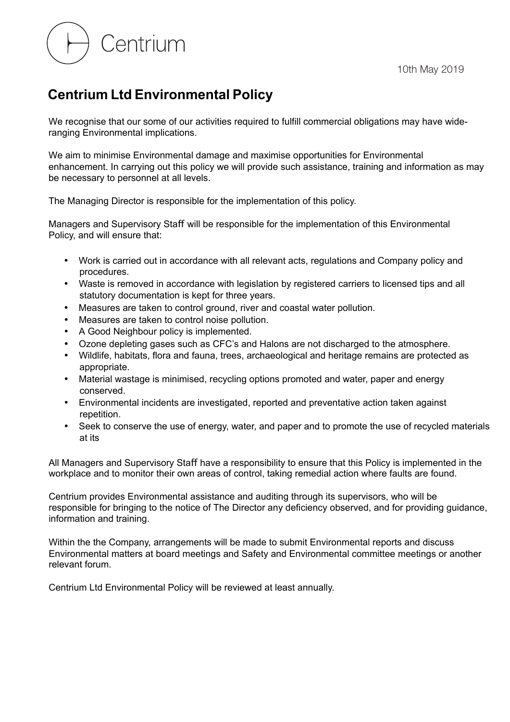Centrium

## **Centrium Ltd Environmental Policy**

We recognise that our some of our activities required to fulfill commercial obligations may have wideranging Environmental implications.

We aim to minimise Environmental damage and maximise opportunities for Environmental enhancement. In carrying out this policy we will provide such assistance, training and information as may be necessary to personnel at all levels.

The Managing Director is responsible for the implementation of this policy.

Managers and Supervisory Staff will be responsible for the implementation of this Environmental Policy, and will ensure that:

- Work is carried out in accordance with all relevant acts, regulations and Company policy and procedures.
- Waste is removed in accordance with legislation by registered carriers to licensed tips and all statutory documentation is kept for three years.
- Measures are taken to control ground, river and coastal water pollution.
- Measures are taken to control noise pollution.
- A Good Neighbour policy is implemented.
- Ozone depleting gases such as CFC's and Halons are not discharged to the atmosphere.
- Wildlife, habitats, flora and fauna, trees, archaeological and heritage remains are protected as appropriate.
- Material wastage is minimised, recycling options promoted and water, paper and energy conserved.
- Environmental incidents are investigated, reported and preventative action taken against repetition.
- Seek to conserve the use of energy, water, and paper and to promote the use of recycled materials at its

All Managers and Supervisory Staff have a responsibility to ensure that this Policy is implemented in the workplace and to monitor their own areas of control, taking remedial action where faults are found.

Centrium provides Environmental assistance and auditing through its supervisors, who will be responsible for bringing to the notice of The Director any deficiency observed, and for providing guidance, information and training.

Within the the Company, arrangements will be made to submit Environmental reports and discuss Environmental matters at board meetings and Safety and Environmental committee meetings or another relevant forum.

Centrium Ltd Environmental Policy will be reviewed at least annually.